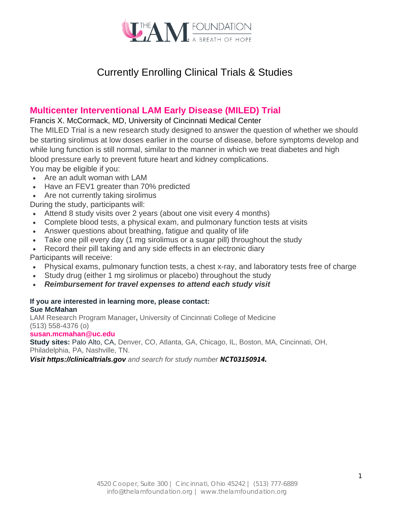

# Currently Enrolling Clinical Trials & Studies

# **Multicenter Interventional LAM Early Disease (MILED) Trial**

## Francis X. McCormack, MD, University of Cincinnati Medical Center

blood pressure early to prevent future heart and kidney complications. while lung function is still normal, similar to the manner in which we treat diabetes and high be starting sirolimus at low doses earlier in the course of disease, before symptoms develop and The MILED Trial is a new research study designed to answer the question of whether we should

You may be eligible if you:

- Are an adult woman with LAM
- Have an FEV1 greater than 70% predicted
- Are not currently taking sirolimus

During the study, participants will:

- Attend 8 study visits over 2 years (about one visit every 4 months)
- Complete blood tests, a physical exam, and pulmonary function tests at visits
- Answer questions about breathing, fatigue and quality of life
- Take one pill every day (1 mg sirolimus or a sugar pill) throughout the study
- Record their pill taking and any side effects in an electronic diary

Participants will receive:

- Physical exams, pulmonary function tests, a chest x-ray, and laboratory tests free of charge
- Study drug (either 1 mg sirolimus or placebo) throughout the study
- *Reimbursement for travel expenses to attend each study visit*

### **Sue McMahan If you are interested in learning more, please contact:**

(513) 558-4376 (o) LAM [Research Program Man](mailto:susan.mcmahan@uc.edu)ager**,** University of Cincinnati College of Medicine

### **susan.mcmahan@uc.edu**

Philadelphia, PA, Nashville, TN. **Study sites:** Palo Alto, CA, Denver, CO, Atlanta, GA, Chicago, IL, Boston, MA, Cincinnati, OH,

*Visit https://clinicaltrials.gov and search for study number NCT03150914.*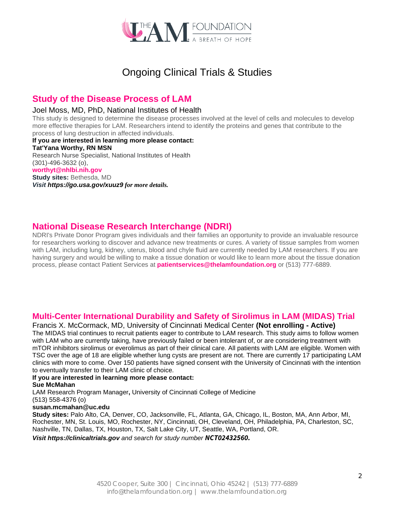

# Ongoing Clinical Trials & Studies

# **Study of the Disease Process of LAM**

#### Joel Moss, MD, PhD, National Institutes of Health

This study is designed to determine the disease processes involved at the level of cells and molecules to develop more effective therapies for LAM. Researchers intend to identify the proteins and genes that contribute to the process of lung destruction in affected individuals.

**If you are interested in learning more please contact: Tat'Yana Worthy, RN MSN** Research Nurse Specialist, National Institutes of Health (301)-496-3632 (o), **[worthyt@nhlbi.nih.gov](mailto:tania.machado@nih.gov) Study sites:** Bethesda, MD *Visit https://go.usa.gov/xuuz9 for more details.*

# **National Disease Research Interchange (NDRI)**

NDRI's Private Donor Program gives individuals and their families an opportunity to provide an invaluable resource for researchers working to discover and advance new treatments or cures. A variety of tissue samples from women with LAM, including lung, kidney, uterus, blood and chyle fluid are currently needed by LAM researchers. If you are having surgery and would be willing to make a tissue donation or would like to learn more about the tissue donation process, please contact Patient Services at **patientservices@thelamfoundation.org** or (513) 777-6889.

# **Multi-Center International Durability and Safety of Sirolimus in LAM (MIDAS) Trial**

#### Francis X. McCormack, MD, University of Cincinnati Medical Center **(Not enrolling - Active)**

The MIDAS trial continues to recruit patients eager to contribute to LAM research. This study aims to follow women with LAM who are currently taking, have previously failed or been intolerant of, or are considering treatment with mTOR inhibitors sirolimus or everolimus as part of their clinical care. All patients with LAM are eligible. Women with TSC over the age of 18 are eligible whether lung cysts are present are not. There are currently 17 participating LAM clinics with more to come. Over 150 patients have signed consent with the University of Cincinnati with the intention to eventually transfer to their LAM clinic of choice.

#### **If you are interested in learning more please contact:**

#### **Sue McMahan**

LAM Research Program Manager**,** University of Cincinnati College of Medicine

#### (513) 558-4376 (o)

### **susan.mcmahan@uc.edu**

**Study sites:** Palo Alto, CA, Denver, CO, Jacksonville, FL, Atlanta, GA, Chicago, IL, Boston, MA, Ann Arbor, MI, Rochester, MN, St. Louis, MO, Rochester, NY, Cincinnati, OH, Cleveland, OH, Philadelphia, PA, Charleston, SC, Nashville, TN, Dallas, TX, Houston, TX, Salt Lake City, UT, Seattle, WA, Portland, OR.

*Visit https://clinicaltrials.gov and search for study number NCT02432560.*